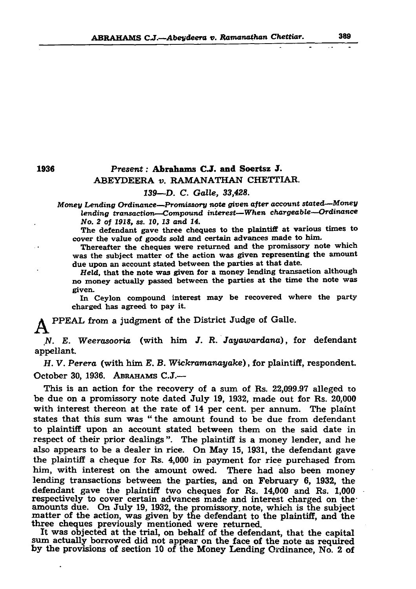## A B R A H A M S C.J.— A beydeera *v. Ramanathan Chettiar.* 389

# 1936 *Present:* Abrahams CJ. and Soertsz J. ABEYDEERA *v.* RAMANATHAN CHETTIAR. *139*—D. C. *Galle, 33,428.*

The defendant gave three cheques to the plaintiff at various times to cover the value of goods sold and certain advances made to him.

*Money Lending Ordinance—Promissory note given after account stated—Money lending transaction—Compound interest—When chargeable—Ordinance No. 2 of 1918, ss. 10, 13 and 14.*

*H. V. Perera* (with him E. B. *Wickramanayake)*, for plaintiff, respondent. October 30, 1936. ABRAHAMS  $C.J.$ —

Thereafter the cheques were returned and the promissory note which was the subject matter of the action was given representing the amount due upon an account stated between the parties at that date.

*Held,* that the note was given for a money lending transaction although no money actually passed between the parties at the tune the note was given.

In Ceylon compound interest may be recovered where the party charged has agreed to pay it.

 $\sim$   $\bullet$ 

 $\bullet$ 

PPEAL from a judgment of the District Judge of Galle.

*N. E. Weerasooria* (with him *J. R. Jayawardana)*, for defendant appellant.

This is an action for the recovery of a sum of Rs. 22,099.97 alleged to be due on a promissory note dated July 19, 1932, made out for Rs. 20,000 with interest thereon at the rate of 14 per cent, per annum. The plaint states that this sum was "the amount found to be due from defendant to plaintiff upon an account stated between them on the said date in respect of their prior dealings". The plaintiff is a money lender, and he also appears to be a dealer in rice. On May 15, 1931, the defendant gave the plaintiff a cheque for Rs. 4,000 in payment for rice purchased from him, with interest on the amount owed. There had also been money lending transactions between the parties, and on February 6, 1932, the defendant gave the plaintiff two cheques for Rs. 14,000 and Rs. 1,000 respectively to cover certain advances made and interest charged on theamounts due. On July 19, 1932, the promissory, note, which is the subject matter of the action, was given by the defendant to the plaintiff, and the three cheques previously mentioned were returned. It was objected at the trial, on behalf of the defendant, that the capital sum actually borrowed did not appear on the face of the note as required by the provisions of section 10 of the Money Lending Ordinance, No. 2 of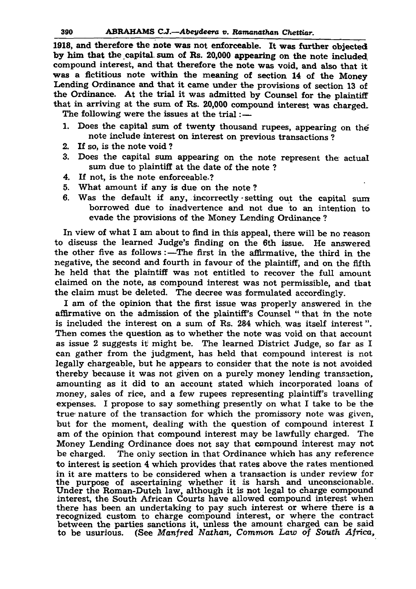## 390 ABRAHAMS C.J.—*Abeydeera v. Ramanathan Chettiar.*

1918, and therefore the note was not enforceable. It was further objected by him that the capital sum of Rs. 20,000 appearing on the note included compound interest, and that therefore the note was void, and also that it was a fictitious note within the meaning of section 14 of the Money Lending Ordinance and that it came under the provisions of section 13 of the Ordinance. At the trial it was admitted by Counsel for the plaintiff that in arriving at the sum of Rs. 20,000 compound interest was charged. The following were the issues at the trial:—

- 1. Does the capital sum of twenty thousand rupees, appearing on the note include interest on interest on previous transactions ?
- 2. If so, is the note void ?
- 3. Does the capital sum appearing on the note represent the actual sum due to plaintiff at the date of the note ?
- 4. If not, is the note enforceable.?
- 5. What amount if any is due on the note ?
- 6. Was the default if any, incorrectly setting out the capital sum borrowed due to inadvertence and not due to an intention to evade the provisions of the Money Lending Ordinance ?

In view of what I am about to find in this appeal, there will be no reason to discuss the learned Judge's finding on the 6th issue. He answered the other five as follows :—The first in the affirmative, the third in the negative, the second and fourth in favour of the plaintiff, and on the fifth he held that the plaintiff was not entitled to recover the full amount claimed on the note, as compound interest was not permissible, and that the claim must be deleted. The decree was formulated accordingly.

I am of the opinion that the first issue was properly answered in the affirmative on the admission of the plaintiff's Counsel " that in the note

is included the interest on a sum of Rs. 284 which was itself interest". Then comes the question as to whether the note was void on that account as issue 2 suggests it might be. The learned District Judge, so far as I can gather from the judgment, has held that compound interest is not legally chargeable, but he appears to consider that the note is not avoided thereby because it was not given on a purely money lending transaction, amounting as it did to an account stated which incorporated loans of money, sales of rice, and a few rupees representing plaintiff's travelling expenses. I propose to say something presently on what I take to be the true nature of the transaction for which the promissory note was given, but for the moment, dealing with the question of compound interest I am of the opinion that compound interest may be lawfully charged. The Money Lending Ordinance does not say that compound interest may not be charged. The only section in that Ordinance which has any reference to interest is section 4 which provides that rates above the rates mentioned in it are matters to be considered when a transaction is under review for the purpose of ascertaining whether it is harsh and unconscionable. Under the Roman-Dutch law, although it is not legal to charge compound interest, the South African Courts have allowed compound interest when there has been an undertaking to pay such interest or where there is a recognized custom to charge compound interest, or where the contract between the parties sanctions it, unless the amount charged can be said to be usurious. (See *Manfred Nathan, Common Law of South Africa,*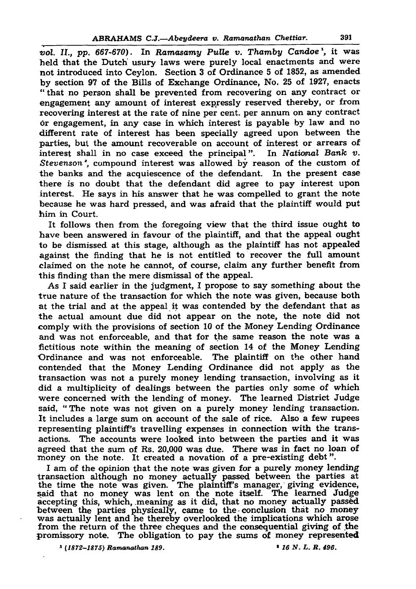#### ABRAHAMS C.J*.—Abeydeera v. Ramanathan Chettiar.* 391

*vol. II., pp. 667-670).* In *Ramasamy Pulle v. Thamby Candoe<sup>1</sup>,* it was held that the Dutch usury laws were purely local enactments and were not introduced into Ceylon. Section 3 of Ordinance 5 of 1852, as amended by section 97 of the Bills of Exchange Ordinance, No. 25 of 1927, enacts " that no person shall be prevented from recovering on any contract or engagement any amount of interest expressly reserved thereby, or from recovering interest at the rate of nine per cent, per annum on any contract or engagement, in any case in which interest is payable by law and no different rate of interest has been specially agreed upon between the parties, but the amount recoverable on account of interest or arrears of interest shall in no case exceed the principal". In *National Bank v*. *Stevenson\*,* compound interest was allowed by reason of the custom of the banks and the acquiescence of the defendant. In the present case there is no doubt that the defendant did agree to pay interest upon interest. He says in his answer that he was compelled to grant the note because he was hard pressed, and was afraid that the plaintiff would put him in Court. It follows then from the foregoing view that the third issue ought to have been answered in favour of the plaintiff, and that the appeal ought to be dismissed at this stage, although as the plaintiff has not appealed against the finding that he is not entitled to recover the full amount claimed on the note he cannot, of course, claim any further benefit from this finding than the mere dismissal of the appeal.

As I said earlier in the judgment, I propose to say something about the true nature of the transaction for which the note was given, because both at the trial and at the appeal it was contended by the defendant that as the actual amount due did not appear on the note, the note did not comply with the provisions of section 10 of the Money Lending Ordinance and was not enforceable, and that for the same reason the note was a fictitious note within the meaning of section 14 of the Money Lending Ordinance and was not enforceable. The plaintiff on the other hand contended that the Money Lending Ordinance did not apply as the transaction was not a purely money lending transaction, involving as it did a multiplicity of dealings between the parties only some of which were concerned with the lending of money. The learned District Judge said, "The note was not given on a purely money lending transaction. It includes a large sum on account of the sale of rice. Also a few rupees representing plaintiff's travelling expenses in connection with the transactions. The accounts were looked into between the parties and it was agreed that the sum of Rs. 20,000 was due. There was in fact no loan of money on the note. It created a novation of a pre-existing debt". I am of the opinion that the note was given for a purely money lending transaction although no money actually passed between the parties at the time the note was given. The plaintiff's manager, giving evidence, said that no money was lent on the note itself. The learned Judge accepting this, which, meaning as it did, that no money actually passed between the parties physically, came to the conclusion that no money was actually lent and he thereby overlooked the implications which arose from the return of the three cheques and the consequential giving of the promissory note. The obligation to pay the sums of money represented 1 (*1872-1875) Ramanathan 189.* \* *16 N. L. R. 496.*